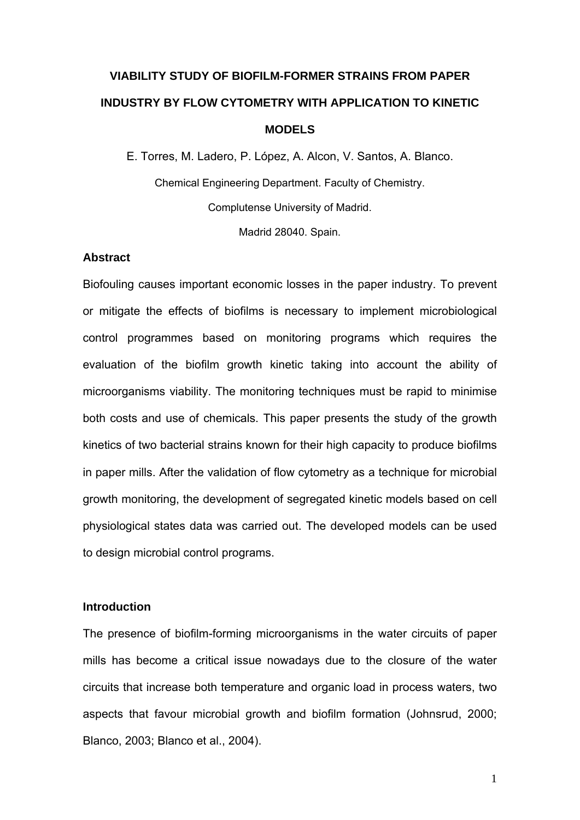# **VIABILITY STUDY OF BIOFILM-FORMER STRAINS FROM PAPER INDUSTRY BY FLOW CYTOMETRY WITH APPLICATION TO KINETIC MODELS**

E. Torres, M. Ladero, P. López, A. Alcon, V. Santos, A. Blanco. Chemical Engineering Department. Faculty of Chemistry. Complutense University of Madrid.

Madrid 28040. Spain.

# **Abstract**

Biofouling causes important economic losses in the paper industry. To prevent or mitigate the effects of biofilms is necessary to implement microbiological control programmes based on monitoring programs which requires the evaluation of the biofilm growth kinetic taking into account the ability of microorganisms viability. The monitoring techniques must be rapid to minimise both costs and use of chemicals. This paper presents the study of the growth kinetics of two bacterial strains known for their high capacity to produce biofilms in paper mills. After the validation of flow cytometry as a technique for microbial growth monitoring, the development of segregated kinetic models based on cell physiological states data was carried out. The developed models can be used to design microbial control programs.

#### **Introduction**

The presence of biofilm-forming microorganisms in the water circuits of paper mills has become a critical issue nowadays due to the closure of the water circuits that increase both temperature and organic load in process waters, two aspects that favour microbial growth and biofilm formation (Johnsrud, 2000; Blanco, 2003; Blanco et al., 2004).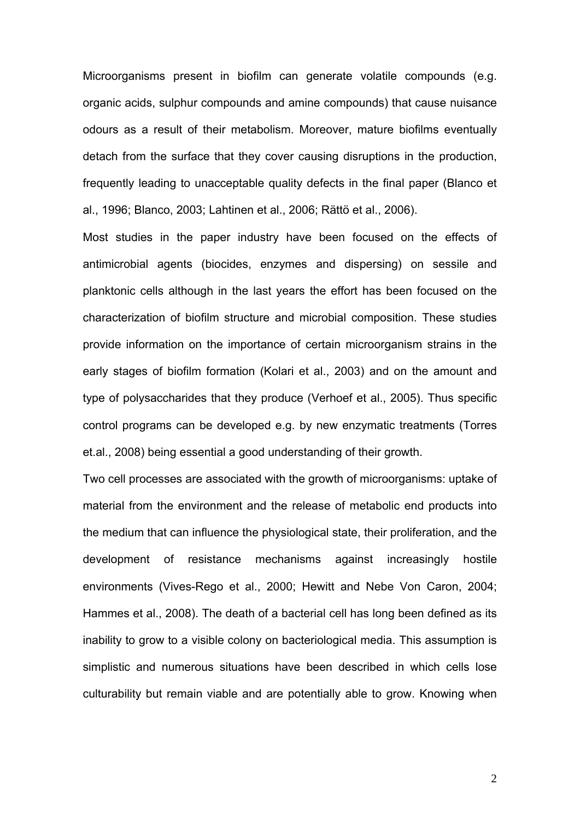Microorganisms present in biofilm can generate volatile compounds (e.g. organic acids, sulphur compounds and amine compounds) that cause nuisance odours as a result of their metabolism. Moreover, mature biofilms eventually detach from the surface that they cover causing disruptions in the production, frequently leading to unacceptable quality defects in the final paper (Blanco et al., 1996; Blanco, 2003; Lahtinen et al., 2006; Rättö et al., 2006).

Most studies in the paper industry have been focused on the effects of antimicrobial agents (biocides, enzymes and dispersing) on sessile and planktonic cells although in the last years the effort has been focused on the characterization of biofilm structure and microbial composition. These studies provide information on the importance of certain microorganism strains in the early stages of biofilm formation (Kolari et al., 2003) and on the amount and type of polysaccharides that they produce (Verhoef et al., 2005). Thus specific control programs can be developed e.g. by new enzymatic treatments (Torres et.al., 2008) being essential a good understanding of their growth.

Two cell processes are associated with the growth of microorganisms: uptake of material from the environment and the release of metabolic end products into the medium that can influence the physiological state, their proliferation, and the development of resistance mechanisms against increasingly hostile environments (Vives-Rego et al., 2000; Hewitt and Nebe Von Caron, 2004; Hammes et al., 2008). The death of a bacterial cell has long been defined as its inability to grow to a visible colony on bacteriological media. This assumption is simplistic and numerous situations have been described in which cells lose culturability but remain viable and are potentially able to grow. Knowing when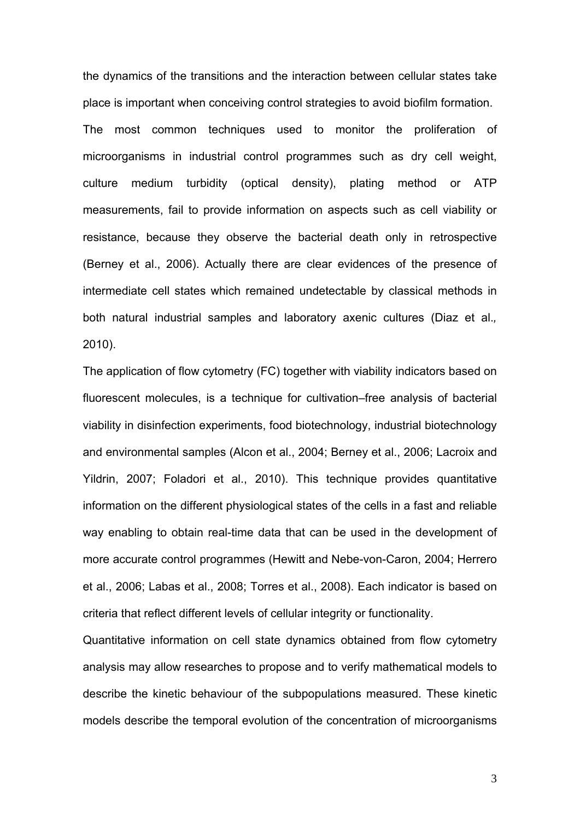the dynamics of the transitions and the interaction between cellular states take place is important when conceiving control strategies to avoid biofilm formation. The most common techniques used to monitor the proliferation of microorganisms in industrial control programmes such as dry cell weight, culture medium turbidity (optical density), plating method or ATP measurements, fail to provide information on aspects such as cell viability or resistance, because they observe the bacterial death only in retrospective (Berney et al., 2006). Actually there are clear evidences of the presence of intermediate cell states which remained undetectable by classical methods in both natural industrial samples and laboratory axenic cultures (Diaz et al.*,* 2010).

The application of flow cytometry (FC) together with viability indicators based on fluorescent molecules, is a technique for cultivation–free analysis of bacterial viability in disinfection experiments, food biotechnology, industrial biotechnology and environmental samples (Alcon et al., 2004; Berney et al., 2006; Lacroix and Yildrin, 2007; Foladori et al., 2010). This technique provides quantitative information on the different physiological states of the cells in a fast and reliable way enabling to obtain real-time data that can be used in the development of more accurate control programmes (Hewitt and Nebe-von-Caron, 2004; Herrero et al., 2006; Labas et al., 2008; Torres et al., 2008). Each indicator is based on criteria that reflect different levels of cellular integrity or functionality.

Quantitative information on cell state dynamics obtained from flow cytometry analysis may allow researches to propose and to verify mathematical models to describe the kinetic behaviour of the subpopulations measured. These kinetic models describe the temporal evolution of the concentration of microorganisms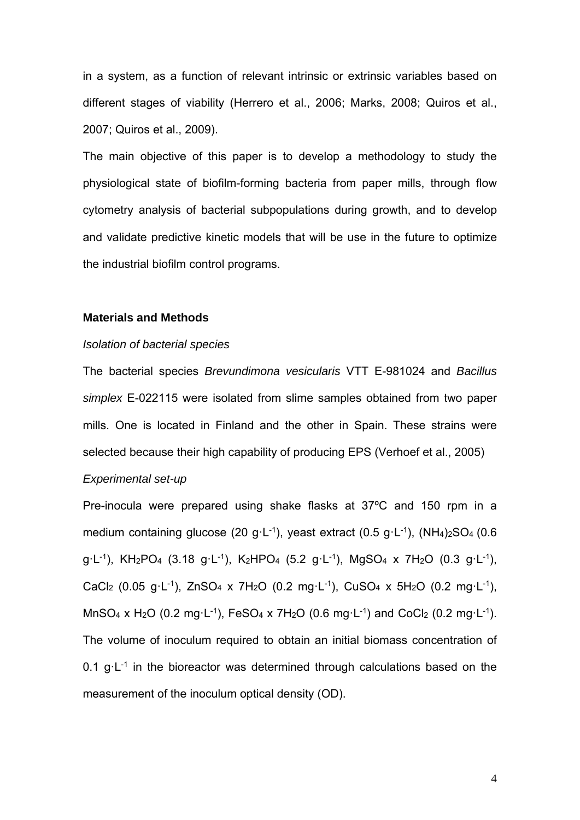in a system, as a function of relevant intrinsic or extrinsic variables based on different stages of viability (Herrero et al., 2006; Marks, 2008; Quiros et al., 2007; Quiros et al., 2009).

The main objective of this paper is to develop a methodology to study the physiological state of biofilm-forming bacteria from paper mills, through flow cytometry analysis of bacterial subpopulations during growth, and to develop and validate predictive kinetic models that will be use in the future to optimize the industrial biofilm control programs.

## **Materials and Methods**

#### *Isolation of bacterial species*

The bacterial species *Brevundimona vesicularis* VTT E-981024 and *Bacillus simplex* E-022115 were isolated from slime samples obtained from two paper mills. One is located in Finland and the other in Spain. These strains were selected because their high capability of producing EPS (Verhoef et al., 2005)

# *Experimental set-up*

Pre-inocula were prepared using shake flasks at 37ºC and 150 rpm in a medium containing glucose (20 g·L<sup>-1</sup>), yeast extract (0.5 g·L<sup>-1</sup>), (NH<sub>4</sub>)<sub>2</sub>SO<sub>4</sub> (0.6  $q L^{-1}$ ), KH<sub>2</sub>PO<sub>4</sub> (3.18 g·L<sup>-1</sup>), K<sub>2</sub>HPO<sub>4</sub> (5.2 g·L<sup>-1</sup>), MgSO<sub>4</sub> x 7H<sub>2</sub>O (0.3 g·L<sup>-1</sup>), CaCl<sub>2</sub> (0.05 g·L<sup>-1</sup>), ZnSO<sub>4</sub> x 7H<sub>2</sub>O (0.2 mg·L<sup>-1</sup>), CuSO<sub>4</sub> x 5H<sub>2</sub>O (0.2 mg·L<sup>-1</sup>), MnSO<sub>4</sub> x H<sub>2</sub>O (0.2 mg·L<sup>-1</sup>), FeSO<sub>4</sub> x 7H<sub>2</sub>O (0.6 mg·L<sup>-1</sup>) and CoCl<sub>2</sub> (0.2 mg·L<sup>-1</sup>). The volume of inoculum required to obtain an initial biomass concentration of 0.1  $q L^{-1}$  in the bioreactor was determined through calculations based on the measurement of the inoculum optical density (OD).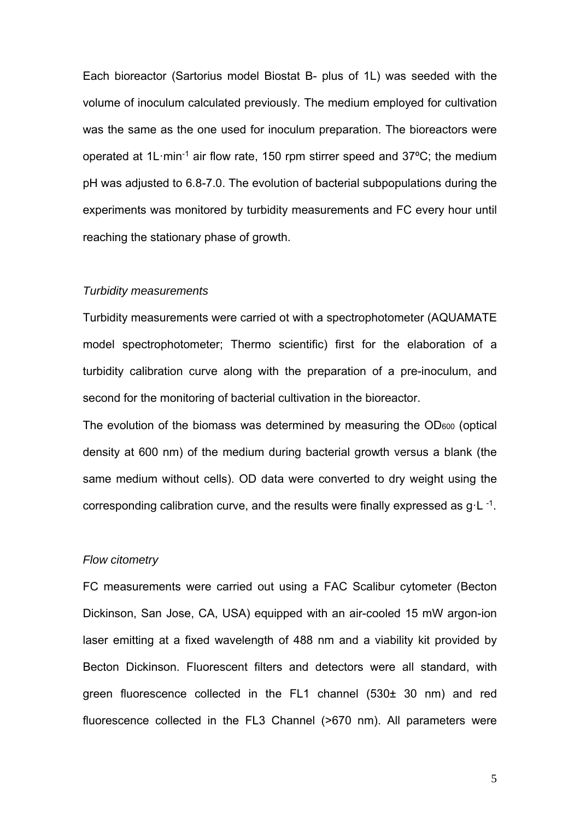Each bioreactor (Sartorius model Biostat B- plus of 1L) was seeded with the volume of inoculum calculated previously. The medium employed for cultivation was the same as the one used for inoculum preparation. The bioreactors were operated at 1L·min-1 air flow rate, 150 rpm stirrer speed and 37ºC; the medium pH was adjusted to 6.8-7.0. The evolution of bacterial subpopulations during the experiments was monitored by turbidity measurements and FC every hour until reaching the stationary phase of growth.

## *Turbidity measurements*

Turbidity measurements were carried ot with a spectrophotometer (AQUAMATE model spectrophotometer; Thermo scientific) first for the elaboration of a turbidity calibration curve along with the preparation of a pre-inoculum, and second for the monitoring of bacterial cultivation in the bioreactor.

The evolution of the biomass was determined by measuring the OD<sub>600</sub> (optical density at 600 nm) of the medium during bacterial growth versus a blank (the same medium without cells). OD data were converted to dry weight using the corresponding calibration curve, and the results were finally expressed as  $q L^{-1}$ .

### *Flow citometry*

FC measurements were carried out using a FAC Scalibur cytometer (Becton Dickinson, San Jose, CA, USA) equipped with an air-cooled 15 mW argon-ion laser emitting at a fixed wavelength of 488 nm and a viability kit provided by Becton Dickinson. Fluorescent filters and detectors were all standard, with green fluorescence collected in the FL1 channel (530± 30 nm) and red fluorescence collected in the FL3 Channel (>670 nm). All parameters were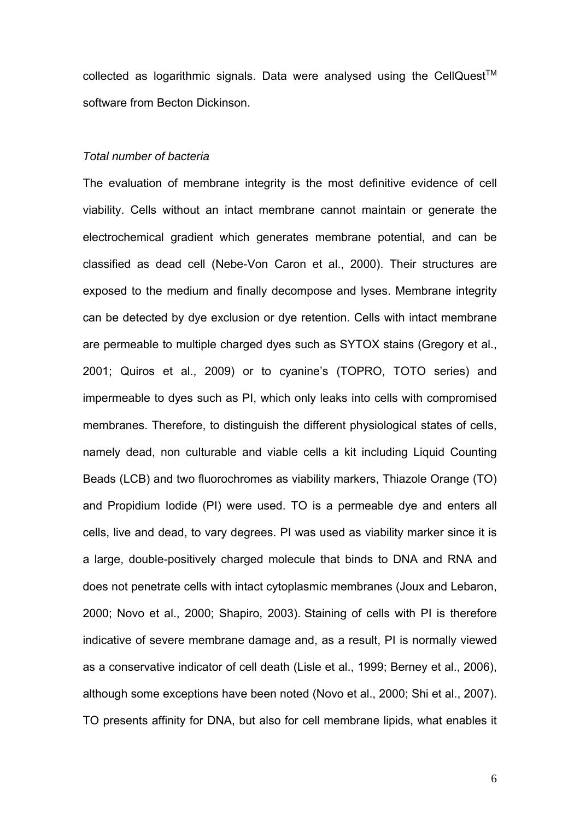collected as logarithmic signals. Data were analysed using the CellQuest<sup>TM</sup> software from Becton Dickinson.

# *Total number of bacteria*

The evaluation of membrane integrity is the most definitive evidence of cell viability. Cells without an intact membrane cannot maintain or generate the electrochemical gradient which generates membrane potential, and can be classified as dead cell (Nebe-Von Caron et al., 2000). Their structures are exposed to the medium and finally decompose and lyses. Membrane integrity can be detected by dye exclusion or dye retention. Cells with intact membrane are permeable to multiple charged dyes such as SYTOX stains (Gregory et al., 2001; Quiros et al., 2009) or to cyanine's (TOPRO, TOTO series) and impermeable to dyes such as PI, which only leaks into cells with compromised membranes. Therefore, to distinguish the different physiological states of cells, namely dead, non culturable and viable cells a kit including Liquid Counting Beads (LCB) and two fluorochromes as viability markers, Thiazole Orange (TO) and Propidium Iodide (PI) were used. TO is a permeable dye and enters all cells, live and dead, to vary degrees. PI was used as viability marker since it is a large, double-positively charged molecule that binds to DNA and RNA and does not penetrate cells with intact cytoplasmic membranes (Joux and Lebaron, 2000; Novo et al., 2000; Shapiro, 2003). Staining of cells with PI is therefore indicative of severe membrane damage and, as a result, PI is normally viewed as a conservative indicator of cell death (Lisle et al., 1999; Berney et al., 2006), although some exceptions have been noted (Novo et al., 2000; Shi et al., 2007). TO presents affinity for DNA, but also for cell membrane lipids, what enables it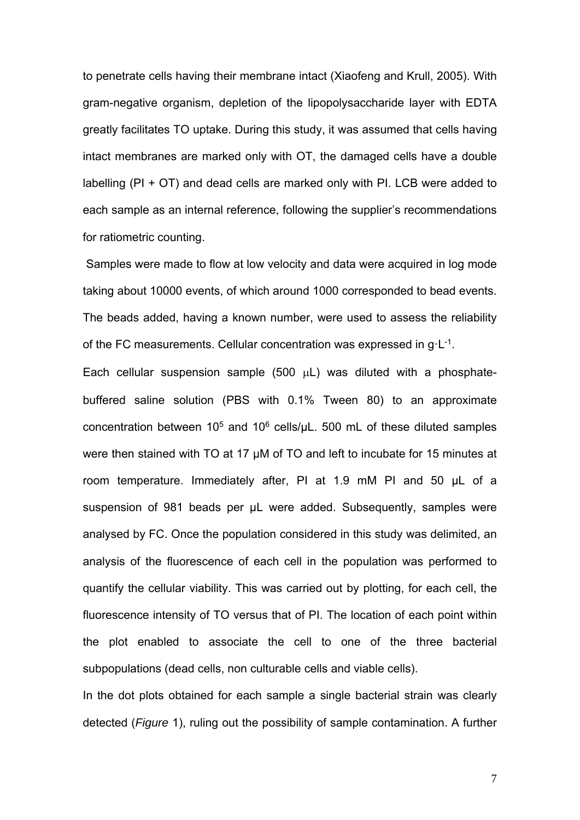to penetrate cells having their membrane intact (Xiaofeng and Krull, 2005). With gram-negative organism, depletion of the lipopolysaccharide layer with EDTA greatly facilitates TO uptake. During this study, it was assumed that cells having intact membranes are marked only with OT, the damaged cells have a double labelling (PI + OT) and dead cells are marked only with PI. LCB were added to each sample as an internal reference, following the supplier's recommendations for ratiometric counting.

 Samples were made to flow at low velocity and data were acquired in log mode taking about 10000 events, of which around 1000 corresponded to bead events. The beads added, having a known number, were used to assess the reliability of the FC measurements. Cellular concentration was expressed in  $q \cdot L^{-1}$ .

Each cellular suspension sample (500  $\mu$ L) was diluted with a phosphatebuffered saline solution (PBS with 0.1% Tween 80) to an approximate concentration between  $10^5$  and  $10^6$  cells/ $\mu$ L. 500 mL of these diluted samples were then stained with TO at 17 µM of TO and left to incubate for 15 minutes at room temperature. Immediately after, PI at 1.9 mM PI and 50 µL of a suspension of 981 beads per µL were added. Subsequently, samples were analysed by FC. Once the population considered in this study was delimited, an analysis of the fluorescence of each cell in the population was performed to quantify the cellular viability. This was carried out by plotting, for each cell, the fluorescence intensity of TO versus that of PI. The location of each point within the plot enabled to associate the cell to one of the three bacterial subpopulations (dead cells, non culturable cells and viable cells).

In the dot plots obtained for each sample a single bacterial strain was clearly detected (*Figure* 1), ruling out the possibility of sample contamination. A further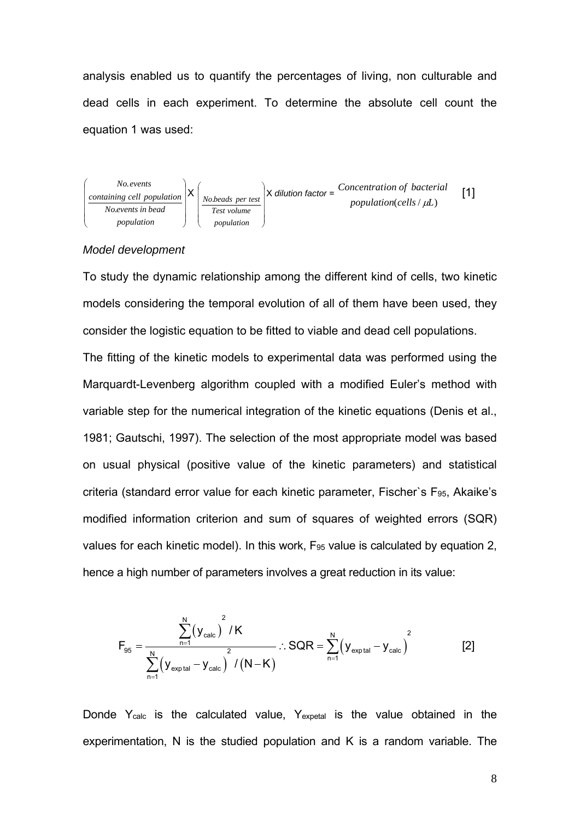analysis enabled us to quantify the percentages of living, non culturable and dead cells in each experiment. To determine the absolute cell count the equation 1 was used:



## *Model development*

To study the dynamic relationship among the different kind of cells, two kinetic models considering the temporal evolution of all of them have been used, they consider the logistic equation to be fitted to viable and dead cell populations.

The fitting of the kinetic models to experimental data was performed using the Marquardt-Levenberg algorithm coupled with a modified Euler's method with variable step for the numerical integration of the kinetic equations (Denis et al., 1981; Gautschi, 1997). The selection of the most appropriate model was based on usual physical (positive value of the kinetic parameters) and statistical criteria (standard error value for each kinetic parameter, Fischer's F $_{95}$ , Akaike's modified information criterion and sum of squares of weighted errors (SQR) values for each kinetic model). In this work, F95 value is calculated by equation 2, hence a high number of parameters involves a great reduction in its value:

$$
F_{95} = \frac{\sum_{n=1}^{N} (y_{calc})^2 / K}{\sum_{n=1}^{N} (y_{exp tal} - y_{calc})^2 / (N - K)} \therefore SQR = \sum_{n=1}^{N} (y_{exp tal} - y_{calc})^2
$$
 [2]

Donde Y<sub>calc</sub> is the calculated value, Y<sub>expetal</sub> is the value obtained in the experimentation, N is the studied population and K is a random variable. The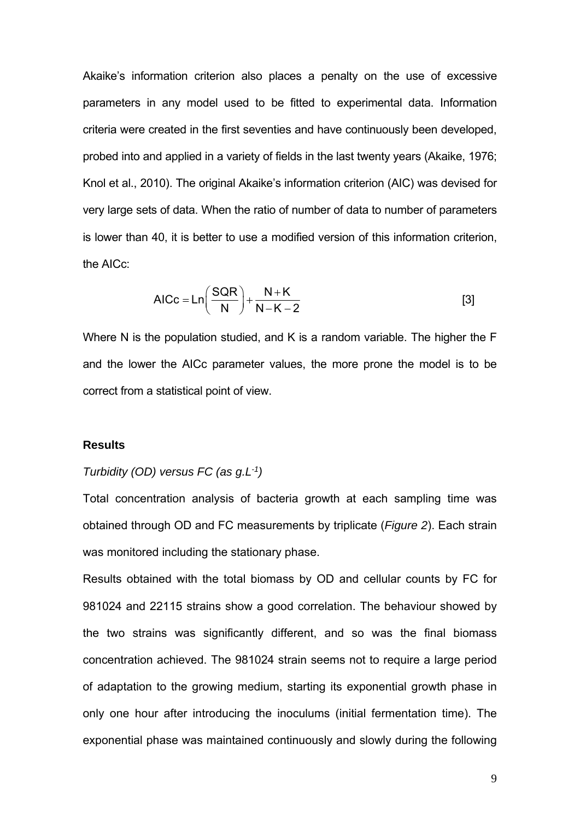Akaike's information criterion also places a penalty on the use of excessive parameters in any model used to be fitted to experimental data. Information criteria were created in the first seventies and have continuously been developed, probed into and applied in a variety of fields in the last twenty years (Akaike, 1976; Knol et al., 2010). The original Akaike's information criterion (AIC) was devised for very large sets of data. When the ratio of number of data to number of parameters is lower than 40, it is better to use a modified version of this information criterion, the AICc:

$$
AICc = Ln\left(\frac{SQR}{N}\right) + \frac{N+K}{N-K-2}
$$
 [3]

Where N is the population studied, and K is a random variable. The higher the F and the lower the AICc parameter values, the more prone the model is to be correct from a statistical point of view.

# **Results**

# *Turbidity (OD) versus FC (as g.L-1)*

Total concentration analysis of bacteria growth at each sampling time was obtained through OD and FC measurements by triplicate (*Figure 2*). Each strain was monitored including the stationary phase.

Results obtained with the total biomass by OD and cellular counts by FC for 981024 and 22115 strains show a good correlation. The behaviour showed by the two strains was significantly different, and so was the final biomass concentration achieved. The 981024 strain seems not to require a large period of adaptation to the growing medium, starting its exponential growth phase in only one hour after introducing the inoculums (initial fermentation time). The exponential phase was maintained continuously and slowly during the following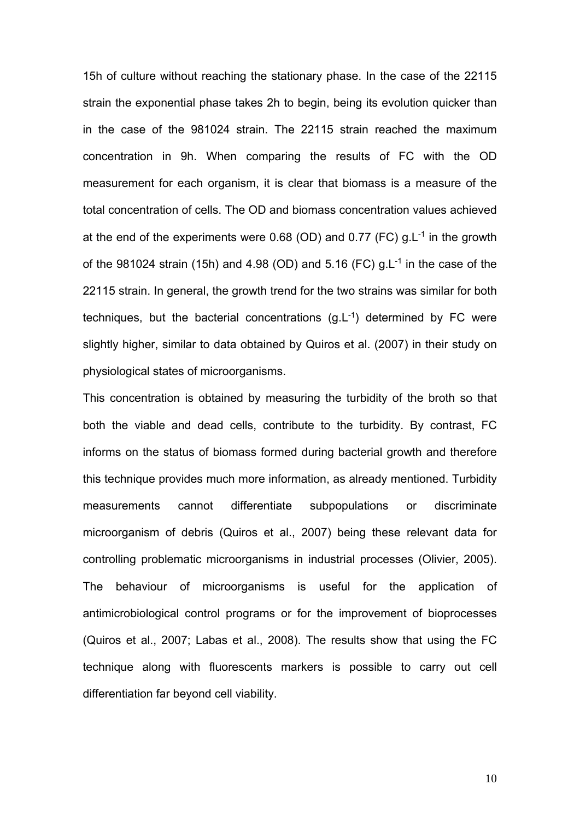15h of culture without reaching the stationary phase. In the case of the 22115 strain the exponential phase takes 2h to begin, being its evolution quicker than in the case of the 981024 strain. The 22115 strain reached the maximum concentration in 9h. When comparing the results of FC with the OD measurement for each organism, it is clear that biomass is a measure of the total concentration of cells. The OD and biomass concentration values achieved at the end of the experiments were 0.68 (OD) and 0.77 (FC)  $q.L^{-1}$  in the growth of the 981024 strain (15h) and 4.98 (OD) and 5.16 (FC)  $q<sub>L</sub>$ <sup>1</sup> in the case of the 22115 strain. In general, the growth trend for the two strains was similar for both techniques, but the bacterial concentrations  $(g<sub>L-1</sub>)$  determined by FC were slightly higher, similar to data obtained by Quiros et al. (2007) in their study on physiological states of microorganisms.

This concentration is obtained by measuring the turbidity of the broth so that both the viable and dead cells, contribute to the turbidity. By contrast, FC informs on the status of biomass formed during bacterial growth and therefore this technique provides much more information, as already mentioned. Turbidity measurements cannot differentiate subpopulations or discriminate microorganism of debris (Quiros et al., 2007) being these relevant data for controlling problematic microorganisms in industrial processes (Olivier, 2005). The behaviour of microorganisms is useful for the application of antimicrobiological control programs or for the improvement of bioprocesses (Quiros et al., 2007; Labas et al., 2008). The results show that using the FC technique along with fluorescents markers is possible to carry out cell differentiation far beyond cell viability.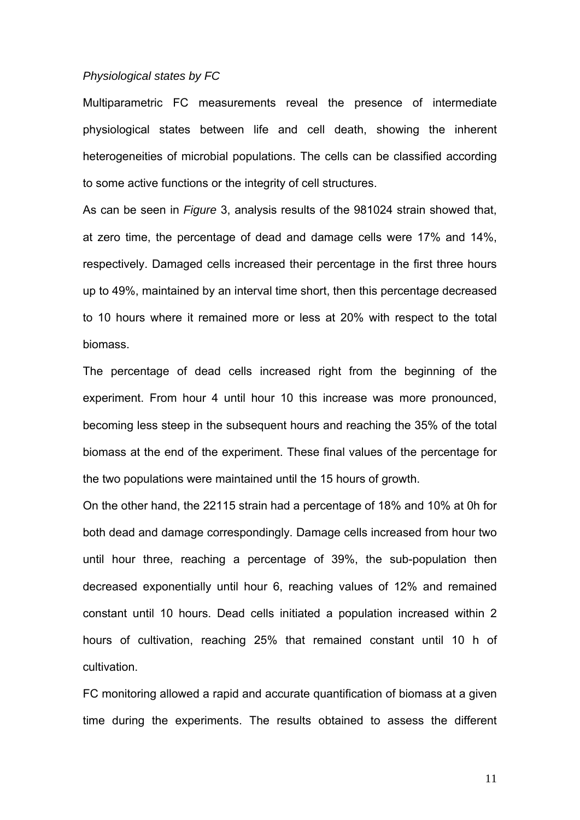#### *Physiological states by FC*

Multiparametric FC measurements reveal the presence of intermediate physiological states between life and cell death, showing the inherent heterogeneities of microbial populations. The cells can be classified according to some active functions or the integrity of cell structures.

As can be seen in *Figure* 3, analysis results of the 981024 strain showed that, at zero time, the percentage of dead and damage cells were 17% and 14%, respectively. Damaged cells increased their percentage in the first three hours up to 49%, maintained by an interval time short, then this percentage decreased to 10 hours where it remained more or less at 20% with respect to the total biomass.

The percentage of dead cells increased right from the beginning of the experiment. From hour 4 until hour 10 this increase was more pronounced, becoming less steep in the subsequent hours and reaching the 35% of the total biomass at the end of the experiment. These final values of the percentage for the two populations were maintained until the 15 hours of growth.

On the other hand, the 22115 strain had a percentage of 18% and 10% at 0h for both dead and damage correspondingly. Damage cells increased from hour two until hour three, reaching a percentage of 39%, the sub-population then decreased exponentially until hour 6, reaching values of 12% and remained constant until 10 hours. Dead cells initiated a population increased within 2 hours of cultivation, reaching 25% that remained constant until 10 h of cultivation.

FC monitoring allowed a rapid and accurate quantification of biomass at a given time during the experiments. The results obtained to assess the different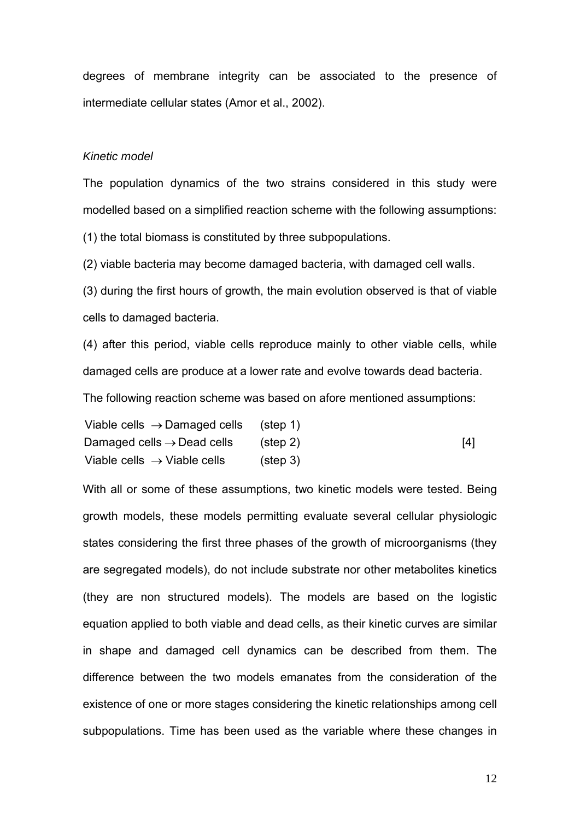degrees of membrane integrity can be associated to the presence of intermediate cellular states (Amor et al., 2002).

#### *Kinetic model*

The population dynamics of the two strains considered in this study were modelled based on a simplified reaction scheme with the following assumptions:

(1) the total biomass is constituted by three subpopulations.

(2) viable bacteria may become damaged bacteria, with damaged cell walls.

(3) during the first hours of growth, the main evolution observed is that of viable cells to damaged bacteria.

(4) after this period, viable cells reproduce mainly to other viable cells, while damaged cells are produce at a lower rate and evolve towards dead bacteria.

The following reaction scheme was based on afore mentioned assumptions:

| Viable cells $\rightarrow$ Damaged cells | (step 1) |     |
|------------------------------------------|----------|-----|
| Damaged cells $\rightarrow$ Dead cells   | (step 2) | [4] |
| Viable cells $\rightarrow$ Viable cells  | (step 3) |     |

With all or some of these assumptions, two kinetic models were tested. Being growth models, these models permitting evaluate several cellular physiologic states considering the first three phases of the growth of microorganisms (they are segregated models), do not include substrate nor other metabolites kinetics (they are non structured models). The models are based on the logistic equation applied to both viable and dead cells, as their kinetic curves are similar in shape and damaged cell dynamics can be described from them. The difference between the two models emanates from the consideration of the existence of one or more stages considering the kinetic relationships among cell subpopulations. Time has been used as the variable where these changes in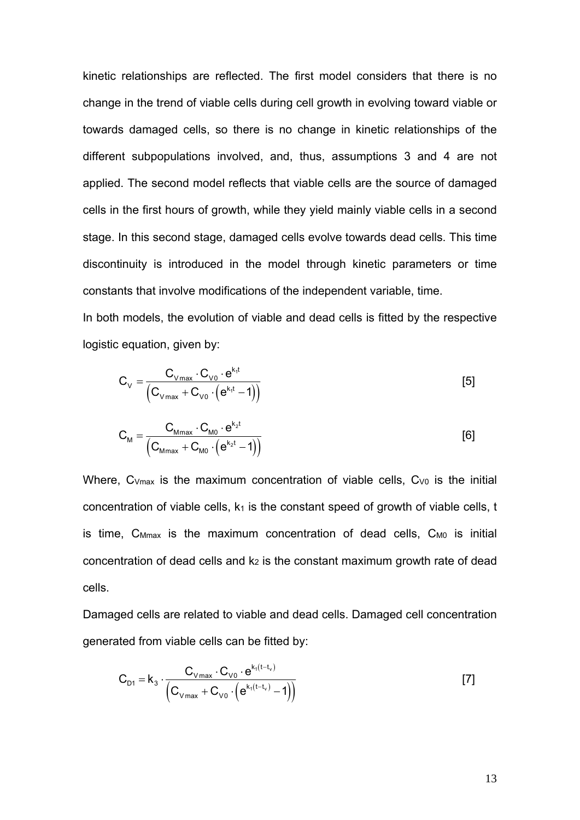kinetic relationships are reflected. The first model considers that there is no change in the trend of viable cells during cell growth in evolving toward viable or towards damaged cells, so there is no change in kinetic relationships of the different subpopulations involved, and, thus, assumptions 3 and 4 are not applied. The second model reflects that viable cells are the source of damaged cells in the first hours of growth, while they yield mainly viable cells in a second stage. In this second stage, damaged cells evolve towards dead cells. This time discontinuity is introduced in the model through kinetic parameters or time constants that involve modifications of the independent variable, time.

In both models, the evolution of viable and dead cells is fitted by the respective logistic equation, given by:

$$
C_{\vee} = \frac{C_{\vee \text{max}} \cdot C_{\vee 0} \cdot e^{k_{1}t}}{\left(C_{\vee \text{max}} + C_{\vee 0} \cdot (e^{k_{1}t} - 1)\right)}
$$
 [5]

$$
C_{\text{M}} = \frac{C_{\text{Mmax}} \cdot C_{\text{M0}} \cdot e^{k_2 t}}{(C_{\text{Mmax}} + C_{\text{M0}} \cdot (e^{k_2 t} - 1))}
$$
 [6]

Where,  $C_{Vmax}$  is the maximum concentration of viable cells,  $C_{V0}$  is the initial concentration of viable cells,  $k_1$  is the constant speed of growth of viable cells, t is time,  $C_{Mmax}$  is the maximum concentration of dead cells,  $C_{M0}$  is initial concentration of dead cells and k<sub>2</sub> is the constant maximum growth rate of dead cells.

Damaged cells are related to viable and dead cells. Damaged cell concentration generated from viable cells can be fitted by:

$$
C_{D1} = k_3 \cdot \frac{C_{Vmax} \cdot C_{V0} \cdot e^{k_1(t - t_v)}}{(C_{Vmax} + C_{V0} \cdot (e^{k_1(t - t_v)} - 1))}
$$
 [7]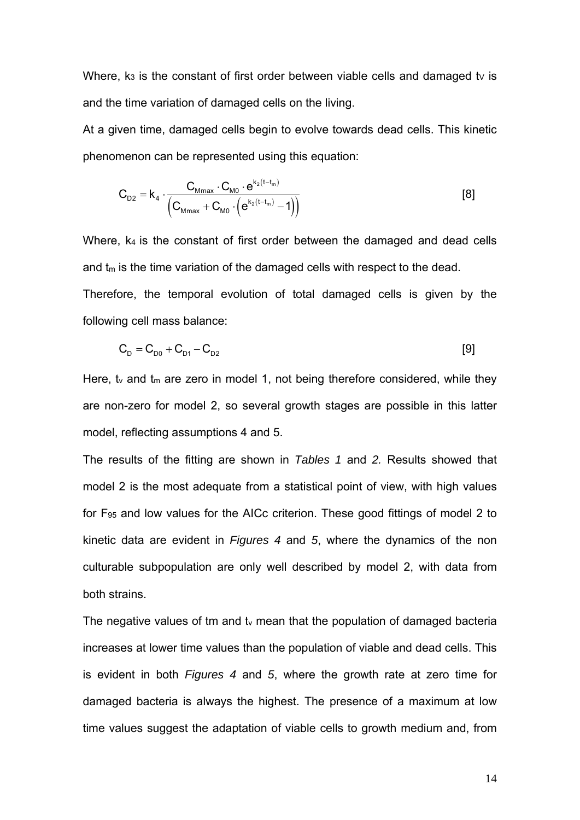Where,  $k_3$  is the constant of first order between viable cells and damaged ty is and the time variation of damaged cells on the living.

At a given time, damaged cells begin to evolve towards dead cells. This kinetic phenomenon can be represented using this equation:

$$
C_{D2} = k_4 \cdot \frac{C_{Mmax} \cdot C_{M0} \cdot e^{k_2(t - t_m)}}{(C_{Mmax} + C_{M0} \cdot (e^{k_2(t - t_m)} - 1))}
$$
 [8]

Where, k4 is the constant of first order between the damaged and dead cells and  $t<sub>m</sub>$  is the time variation of the damaged cells with respect to the dead. Therefore, the temporal evolution of total damaged cells is given by the following cell mass balance:

$$
C_{D} = C_{D0} + C_{D1} - C_{D2} \tag{9}
$$

Here,  $t_v$  and  $t_m$  are zero in model 1, not being therefore considered, while they are non-zero for model 2, so several growth stages are possible in this latter model, reflecting assumptions 4 and 5.

The results of the fitting are shown in *Tables 1* and *2.* Results showed that model 2 is the most adequate from a statistical point of view, with high values for F95 and low values for the AICc criterion. These good fittings of model 2 to kinetic data are evident in *Figures 4* and *5*, where the dynamics of the non culturable subpopulation are only well described by model 2, with data from both strains.

The negative values of tm and  $t<sub>v</sub>$  mean that the population of damaged bacteria increases at lower time values than the population of viable and dead cells. This is evident in both *Figures 4* and *5*, where the growth rate at zero time for damaged bacteria is always the highest. The presence of a maximum at low time values suggest the adaptation of viable cells to growth medium and, from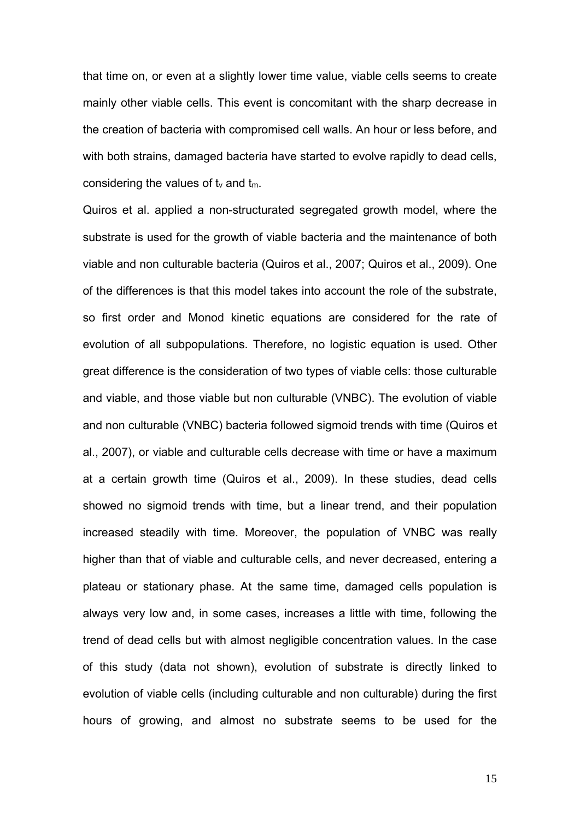that time on, or even at a slightly lower time value, viable cells seems to create mainly other viable cells. This event is concomitant with the sharp decrease in the creation of bacteria with compromised cell walls. An hour or less before, and with both strains, damaged bacteria have started to evolve rapidly to dead cells, considering the values of  $t_v$  and  $t_m$ .

Quiros et al. applied a non-structurated segregated growth model, where the substrate is used for the growth of viable bacteria and the maintenance of both viable and non culturable bacteria (Quiros et al., 2007; Quiros et al., 2009). One of the differences is that this model takes into account the role of the substrate, so first order and Monod kinetic equations are considered for the rate of evolution of all subpopulations. Therefore, no logistic equation is used. Other great difference is the consideration of two types of viable cells: those culturable and viable, and those viable but non culturable (VNBC). The evolution of viable and non culturable (VNBC) bacteria followed sigmoid trends with time (Quiros et al., 2007), or viable and culturable cells decrease with time or have a maximum at a certain growth time (Quiros et al., 2009). In these studies, dead cells showed no sigmoid trends with time, but a linear trend, and their population increased steadily with time. Moreover, the population of VNBC was really higher than that of viable and culturable cells, and never decreased, entering a plateau or stationary phase. At the same time, damaged cells population is always very low and, in some cases, increases a little with time, following the trend of dead cells but with almost negligible concentration values. In the case of this study (data not shown), evolution of substrate is directly linked to evolution of viable cells (including culturable and non culturable) during the first hours of growing, and almost no substrate seems to be used for the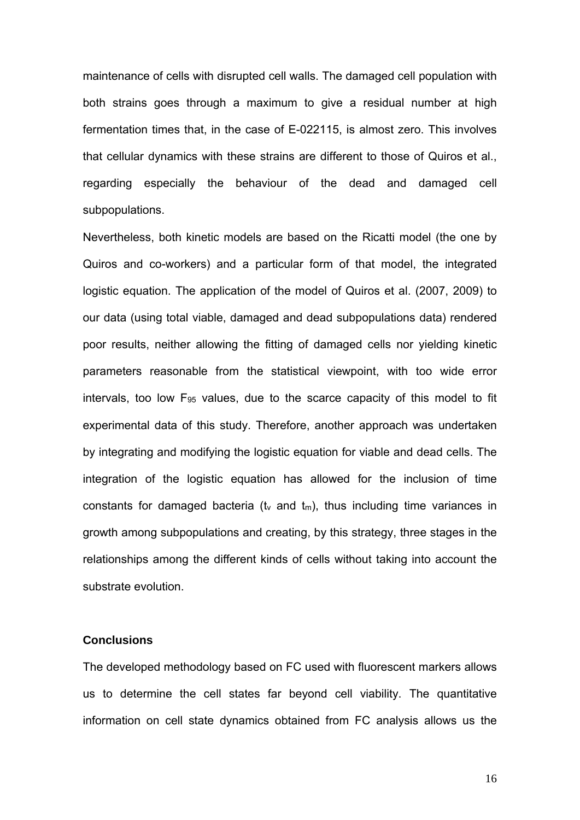maintenance of cells with disrupted cell walls. The damaged cell population with both strains goes through a maximum to give a residual number at high fermentation times that, in the case of E-022115, is almost zero. This involves that cellular dynamics with these strains are different to those of Quiros et al., regarding especially the behaviour of the dead and damaged cell subpopulations.

Nevertheless, both kinetic models are based on the Ricatti model (the one by Quiros and co-workers) and a particular form of that model, the integrated logistic equation. The application of the model of Quiros et al. (2007, 2009) to our data (using total viable, damaged and dead subpopulations data) rendered poor results, neither allowing the fitting of damaged cells nor yielding kinetic parameters reasonable from the statistical viewpoint, with too wide error intervals, too low F95 values, due to the scarce capacity of this model to fit experimental data of this study. Therefore, another approach was undertaken by integrating and modifying the logistic equation for viable and dead cells. The integration of the logistic equation has allowed for the inclusion of time constants for damaged bacteria ( $t_v$  and  $t_m$ ), thus including time variances in growth among subpopulations and creating, by this strategy, three stages in the relationships among the different kinds of cells without taking into account the substrate evolution.

#### **Conclusions**

The developed methodology based on FC used with fluorescent markers allows us to determine the cell states far beyond cell viability. The quantitative information on cell state dynamics obtained from FC analysis allows us the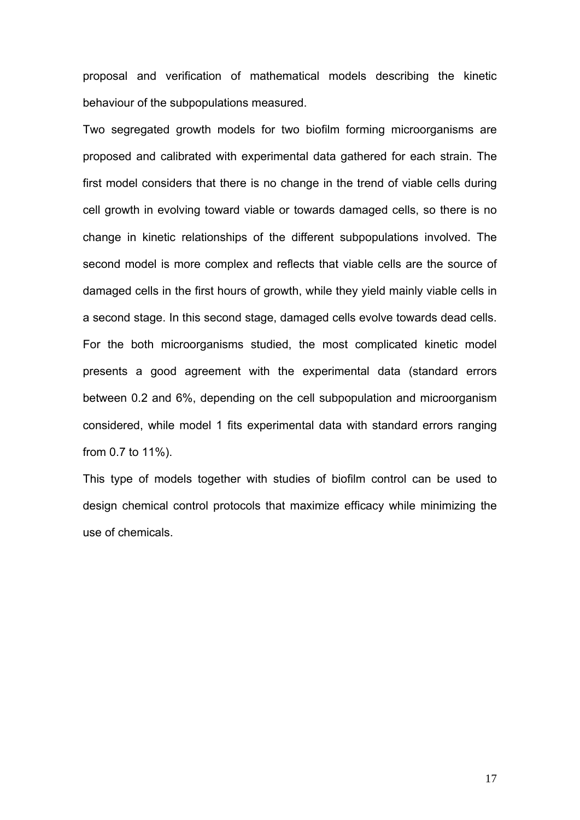proposal and verification of mathematical models describing the kinetic behaviour of the subpopulations measured.

Two segregated growth models for two biofilm forming microorganisms are proposed and calibrated with experimental data gathered for each strain. The first model considers that there is no change in the trend of viable cells during cell growth in evolving toward viable or towards damaged cells, so there is no change in kinetic relationships of the different subpopulations involved. The second model is more complex and reflects that viable cells are the source of damaged cells in the first hours of growth, while they yield mainly viable cells in a second stage. In this second stage, damaged cells evolve towards dead cells. For the both microorganisms studied, the most complicated kinetic model presents a good agreement with the experimental data (standard errors between 0.2 and 6%, depending on the cell subpopulation and microorganism considered, while model 1 fits experimental data with standard errors ranging from 0.7 to 11%).

This type of models together with studies of biofilm control can be used to design chemical control protocols that maximize efficacy while minimizing the use of chemicals.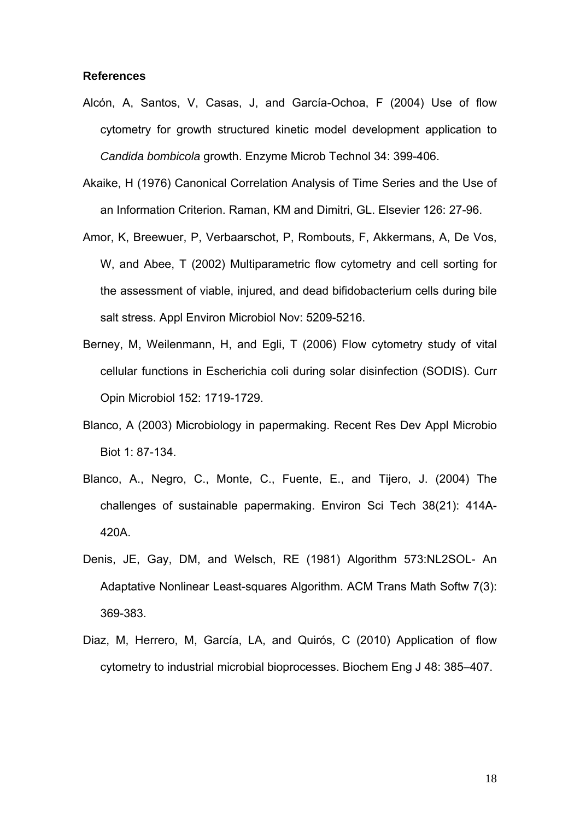#### **References**

- Alcón, A, Santos, V, Casas, J, and García-Ochoa, F (2004) Use of flow cytometry for growth structured kinetic model development application to *Candida bombicola* growth. Enzyme Microb Technol 34: 399-406.
- Akaike, H (1976) Canonical Correlation Analysis of Time Series and the Use of an Information Criterion. Raman, KM and Dimitri, GL. Elsevier 126: 27-96.
- Amor, K, Breewuer, P, Verbaarschot, P, Rombouts, F, Akkermans, A, De Vos, W, and Abee, T (2002) Multiparametric flow cytometry and cell sorting for the assessment of viable, injured, and dead bifidobacterium cells during bile salt stress. Appl Environ Microbiol Nov: 5209-5216.
- Berney, M, Weilenmann, H, and Egli, T (2006) Flow cytometry study of vital cellular functions in Escherichia coli during solar disinfection (SODIS). Curr Opin Microbiol 152: 1719-1729.
- Blanco, A (2003) Microbiology in papermaking. Recent Res Dev Appl Microbio Biot 1: 87-134.
- Blanco, A., Negro, C., Monte, C., Fuente, E., and Tijero, J. (2004) The challenges of sustainable papermaking. Environ Sci Tech 38(21): 414A-420A.
- Denis, JE, Gay, DM, and Welsch, RE (1981) Algorithm 573:NL2SOL- An Adaptative Nonlinear Least-squares Algorithm. ACM Trans Math Softw 7(3): 369-383.
- Diaz, M, Herrero, M, García, LA, and Quirós, C (2010) Application of flow cytometry to industrial microbial bioprocesses. Biochem Eng J 48: 385–407.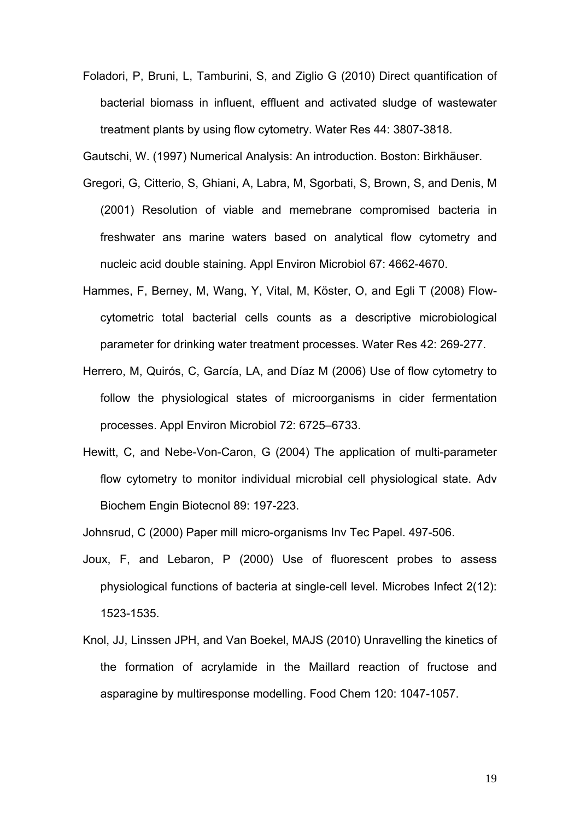Foladori, P, Bruni, L, Tamburini, S, and Ziglio G (2010) Direct quantification of bacterial biomass in influent, effluent and activated sludge of wastewater treatment plants by using flow cytometry. Water Res 44: 3807-3818.

Gautschi, W. (1997) Numerical Analysis: An introduction. Boston: Birkhäuser.

- Gregori, G, Citterio, S, Ghiani, A, Labra, M, Sgorbati, S, Brown, S, and Denis, M (2001) Resolution of viable and memebrane compromised bacteria in freshwater ans marine waters based on analytical flow cytometry and nucleic acid double staining. Appl Environ Microbiol 67: 4662-4670.
- Hammes, F, Berney, M, Wang, Y, Vital, M, Köster, O, and Egli T (2008) Flowcytometric total bacterial cells counts as a descriptive microbiological parameter for drinking water treatment processes. Water Res 42: 269-277.
- Herrero, M, Quirós, C, García, LA, and Díaz M (2006) Use of flow cytometry to follow the physiological states of microorganisms in cider fermentation processes. Appl Environ Microbiol 72: 6725–6733.
- Hewitt, C, and Nebe-Von-Caron, G (2004) The application of multi-parameter flow cytometry to monitor individual microbial cell physiological state. Adv Biochem Engin Biotecnol 89: 197-223.

Johnsrud, C (2000) Paper mill micro-organisms Inv Tec Papel. 497-506.

- Joux, F, and Lebaron, P (2000) Use of fluorescent probes to assess physiological functions of bacteria at single-cell level. Microbes Infect 2(12): 1523-1535.
- Knol, JJ, Linssen JPH, and Van Boekel, MAJS (2010) Unravelling the kinetics of the formation of acrylamide in the Maillard reaction of fructose and asparagine by multiresponse modelling. Food Chem 120: 1047-1057.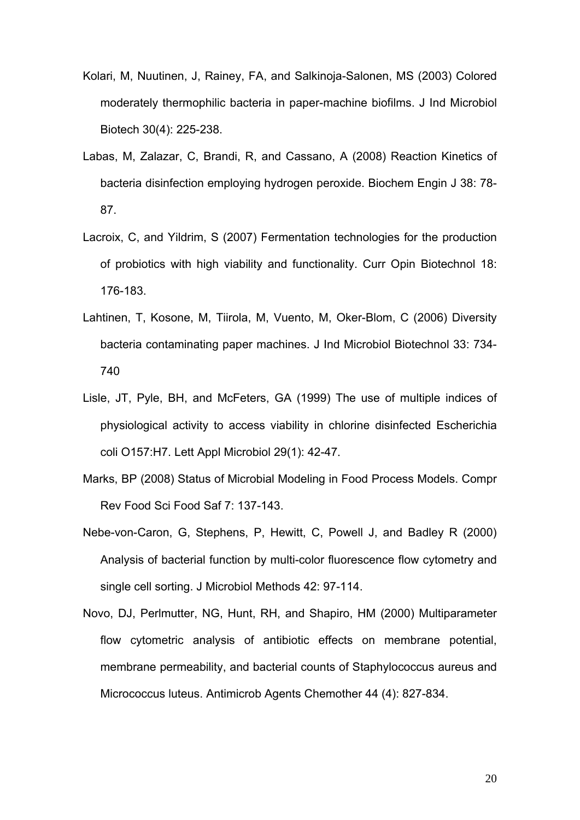- Kolari, M, Nuutinen, J, Rainey, FA, and Salkinoja-Salonen, MS (2003) Colored moderately thermophilic bacteria in paper-machine biofilms. J Ind Microbiol Biotech 30(4): 225-238.
- Labas, M, Zalazar, C, Brandi, R, and Cassano, A (2008) Reaction Kinetics of bacteria disinfection employing hydrogen peroxide. Biochem Engin J 38: 78- 87.
- Lacroix, C, and Yildrim, S (2007) Fermentation technologies for the production of probiotics with high viability and functionality. Curr Opin Biotechnol 18: 176-183.
- Lahtinen, T, Kosone, M, Tiirola, M, Vuento, M, Oker-Blom, C (2006) Diversity bacteria contaminating paper machines. J Ind Microbiol Biotechnol 33: 734- 740
- Lisle, JT, Pyle, BH, and McFeters, GA (1999) The use of multiple indices of physiological activity to access viability in chlorine disinfected Escherichia coli O157:H7. Lett Appl Microbiol 29(1): 42-47.
- Marks, BP (2008) Status of Microbial Modeling in Food Process Models. Compr Rev Food Sci Food Saf 7: 137-143.
- Nebe-von-Caron, G, Stephens, P, Hewitt, C, Powell J, and Badley R (2000) Analysis of bacterial function by multi-color fluorescence flow cytometry and single cell sorting. J Microbiol Methods 42: 97-114.
- Novo, DJ, Perlmutter, NG, Hunt, RH, and Shapiro, HM (2000) Multiparameter flow cytometric analysis of antibiotic effects on membrane potential, membrane permeability, and bacterial counts of Staphylococcus aureus and Micrococcus luteus. Antimicrob Agents Chemother 44 (4): 827-834.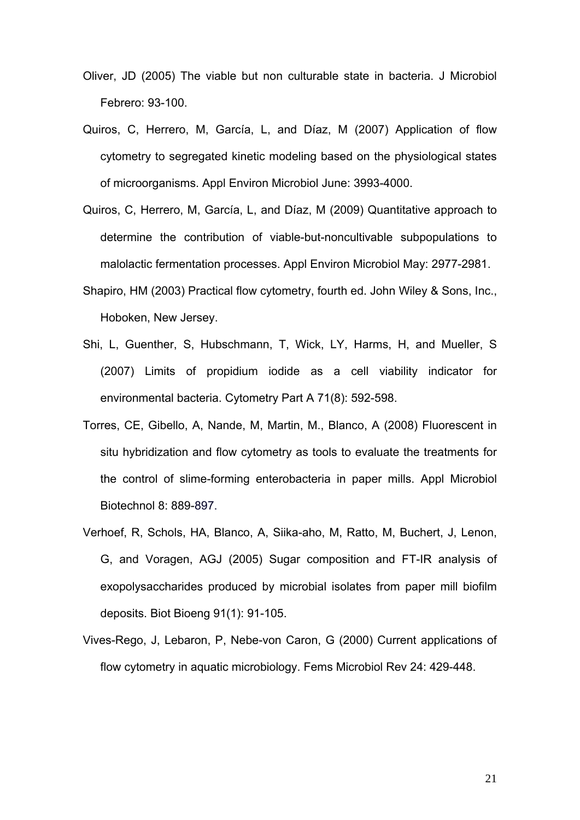- Oliver, JD (2005) The viable but non culturable state in bacteria. J Microbiol Febrero: 93-100.
- Quiros, C, Herrero, M, García, L, and Díaz, M (2007) Application of flow cytometry to segregated kinetic modeling based on the physiological states of microorganisms. Appl Environ Microbiol June: 3993-4000.
- Quiros, C, Herrero, M, García, L, and Díaz, M (2009) Quantitative approach to determine the contribution of viable-but-noncultivable subpopulations to malolactic fermentation processes. Appl Environ Microbiol May: 2977-2981.
- Shapiro, HM (2003) Practical flow cytometry, fourth ed. John Wiley & Sons, Inc., Hoboken, New Jersey.
- Shi, L, Guenther, S, Hubschmann, T, Wick, LY, Harms, H, and Mueller, S (2007) Limits of propidium iodide as a cell viability indicator for environmental bacteria. Cytometry Part A 71(8): 592-598.
- Torres, CE, Gibello, A, Nande, M, Martin, M., Blanco, A (2008) Fluorescent in situ hybridization and flow cytometry as tools to evaluate the treatments for the control of slime-forming enterobacteria in paper mills. Appl Microbiol Biotechnol 8: 889-897.
- Verhoef, R, Schols, HA, Blanco, A, Siika-aho, M, Ratto, M, Buchert, J, Lenon, G, and Voragen, AGJ (2005) Sugar composition and FT-IR analysis of exopolysaccharides produced by microbial isolates from paper mill biofilm deposits. Biot Bioeng 91(1): 91-105.
- Vives-Rego, J, Lebaron, P, Nebe-von Caron, G (2000) Current applications of flow cytometry in aquatic microbiology. Fems Microbiol Rev 24: 429-448.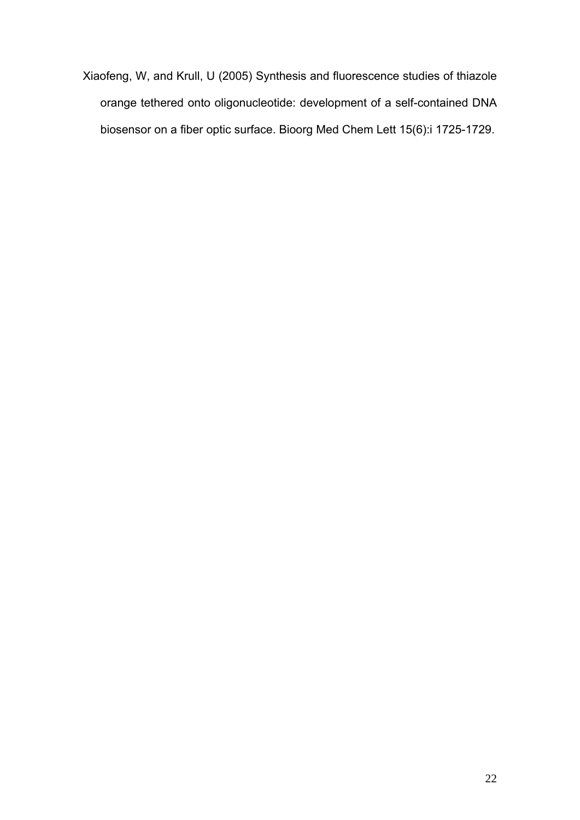Xiaofeng, W, and Krull, U (2005) Synthesis and fluorescence studies of thiazole orange tethered onto oligonucleotide: development of a self-contained DNA biosensor on a fiber optic surface. Bioorg Med Chem Lett 15(6):i 1725-1729.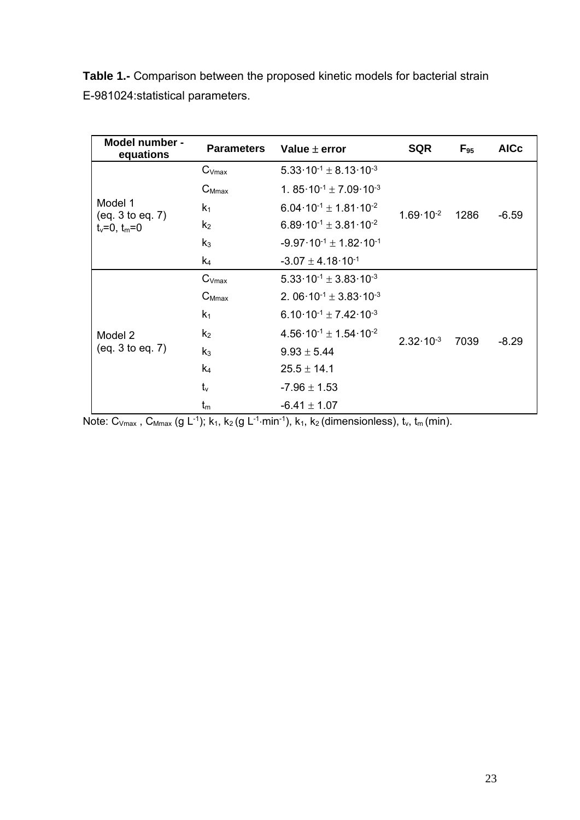**Table 1.-** Comparison between the proposed kinetic models for bacterial strain E-981024:statistical parameters.

| Model number -<br>equations                       | <b>Parameters</b> | Value $\pm$ error                                                 | <b>SQR</b>           | $F_{95}$ | <b>AICc</b> |
|---------------------------------------------------|-------------------|-------------------------------------------------------------------|----------------------|----------|-------------|
| Model 1<br>(eq. 3 to eq. 7)<br>$t_v = 0, t_m = 0$ | $C_{Vmax}$        | 5.33 $\cdot$ 10 <sup>-1</sup> $\pm$ 8.13 $\cdot$ 10 <sup>-3</sup> | $1.69 \cdot 10^{-2}$ | 1286     | $-6.59$     |
|                                                   | $C_{Mmax}$        | 1. 85 $10^{-1} \pm 7.09 \cdot 10^{-3}$                            |                      |          |             |
|                                                   | $k_1$             | $6.04 \cdot 10^{-1} \pm 1.81 \cdot 10^{-2}$                       |                      |          |             |
|                                                   | $k_2$             | $6.89 \cdot 10^{-1} \pm 3.81 \cdot 10^{-2}$                       |                      |          |             |
|                                                   | $k_3$             | $-9.97 \cdot 10^{-1} \pm 1.82 \cdot 10^{-1}$                      |                      |          |             |
|                                                   | k <sub>4</sub>    | $-3.07 \pm 4.18 \cdot 10^{-1}$                                    |                      |          |             |
| Model 2<br>(eq. 3 to eq. 7)                       | $C_{Vmax}$        | $5.33 \cdot 10^{-1} \pm 3.83 \cdot 10^{-3}$                       | $2.32 \cdot 10^{-3}$ | 7039     | $-8.29$     |
|                                                   | $C_{Mmax}$        | 2. 06 $\cdot$ 10 <sup>-1</sup> ± 3.83 $\cdot$ 10 <sup>-3</sup>    |                      |          |             |
|                                                   | k <sub>1</sub>    | 6.10 $\cdot$ 10 <sup>-1</sup> ± 7.42 $\cdot$ 10 <sup>-3</sup>     |                      |          |             |
|                                                   | k <sub>2</sub>    | $4.56 \cdot 10^{-1} \pm 1.54 \cdot 10^{-2}$                       |                      |          |             |
|                                                   | $k_3$             | $9.93 \pm 5.44$                                                   |                      |          |             |
|                                                   | k <sub>4</sub>    | $25.5 \pm 14.1$                                                   |                      |          |             |
|                                                   | $t_v$             | $-7.96 \pm 1.53$                                                  |                      |          |             |
|                                                   | $t_{m}$           | $-6.41 \pm 1.07$                                                  |                      |          |             |

Note:  $C_{Vmax}$ ,  $C_{Mmax}$  (g L<sup>-1</sup>); k<sub>1</sub>, k<sub>2</sub> (g L<sup>-1</sup>·min<sup>-1</sup>), k<sub>1</sub>, k<sub>2</sub> (dimensionless), t<sub>v</sub>, t<sub>m</sub> (min).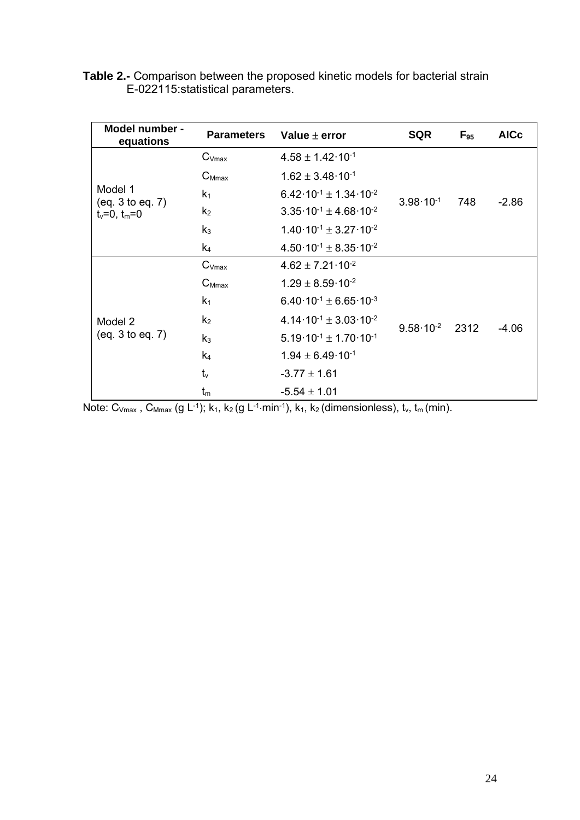| <b>Table 2.-</b> Comparison between the proposed kinetic models for bacterial strain |  |
|--------------------------------------------------------------------------------------|--|
| E-022115 statistical parameters.                                                     |  |

| Model number -<br>equations                       | <b>Parameters</b> | Value $\pm$ error                                 | <b>SQR</b>           | $F_{95}$ | <b>AICc</b> |
|---------------------------------------------------|-------------------|---------------------------------------------------|----------------------|----------|-------------|
| Model 1<br>(eq. 3 to eq. 7)<br>$t_v = 0, t_m = 0$ | $C_{Vmax}$        | $4.58 \pm 1.42 \cdot 10^{-1}$                     | $3.98 \cdot 10^{-1}$ | 748      | $-2.86$     |
|                                                   | $C_{Mmax}$        | $1.62 \pm 3.48 \cdot 10^{-1}$                     |                      |          |             |
|                                                   | k <sub>1</sub>    | $6.42 \cdot 10^{-1} \pm 1.34 \cdot 10^{-2}$       |                      |          |             |
|                                                   | k <sub>2</sub>    | $3.35 \cdot 10^{-1} \pm 4.68 \cdot 10^{-2}$       |                      |          |             |
|                                                   | $k_3$             | $1.40 \cdot 10^{-1} \pm 3.27 \cdot 10^{-2}$       |                      |          |             |
|                                                   | k <sub>4</sub>    | 4.50 $\cdot$ 10 $^{-1}$ ± 8.35 $\cdot$ 10 $^{-2}$ |                      |          |             |
| Model 2<br>(eq. 3 to eq. 7)                       | $C_{Vmax}$        | $4.62 \pm 7.21 \cdot 10^{-2}$                     | $9.58 \cdot 10^{-2}$ | 2312     | $-4.06$     |
|                                                   | $C_{Mmax}$        | $1.29 \pm 8.59 \cdot 10^{-2}$                     |                      |          |             |
|                                                   | $k_1$             | $6.40 \cdot 10^{-1} \pm 6.65 \cdot 10^{-3}$       |                      |          |             |
|                                                   | k <sub>2</sub>    | 4.14 $10^{-1}$ ± 3.03 $10^{-2}$                   |                      |          |             |
|                                                   | $k_3$             | $5.19 \cdot 10^{-1} \pm 1.70 \cdot 10^{-1}$       |                      |          |             |
|                                                   | k <sub>4</sub>    | $1.94 \pm 6.49 \cdot 10^{-1}$                     |                      |          |             |
|                                                   | $t_v$             | $-3.77 \pm 1.61$                                  |                      |          |             |
|                                                   | $t_{m}$           | $-5.54 \pm 1.01$                                  |                      |          |             |

Note:  $C_{Vmax}$ ,  $C_{Mmax}$  (g L<sup>-1</sup>);  $k_1$ ,  $k_2$  (g L<sup>-1</sup>·min<sup>-1</sup>),  $k_1$ ,  $k_2$  (dimensionless),  $t_v$ ,  $t_m$  (min).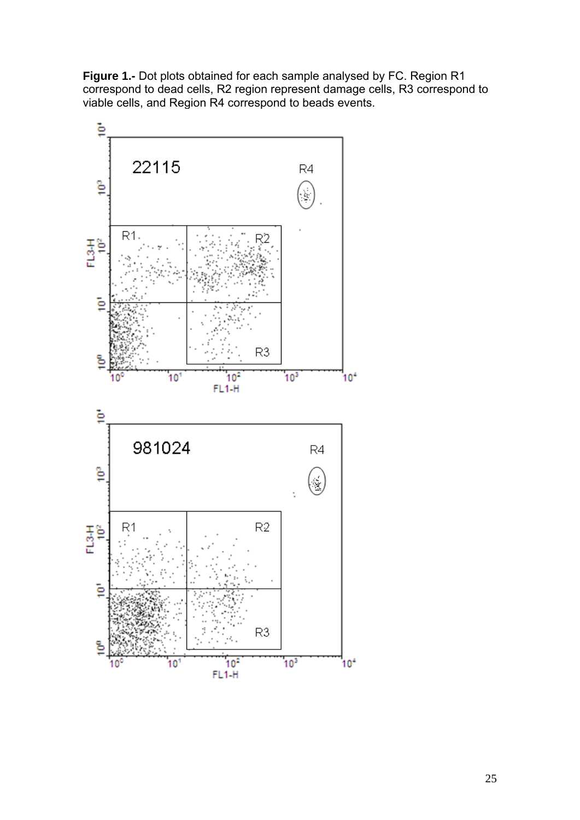**Figure 1.-** Dot plots obtained for each sample analysed by FC. Region R1 correspond to dead cells, R2 region represent damage cells, R3 correspond to viable cells, and Region R4 correspond to beads events.

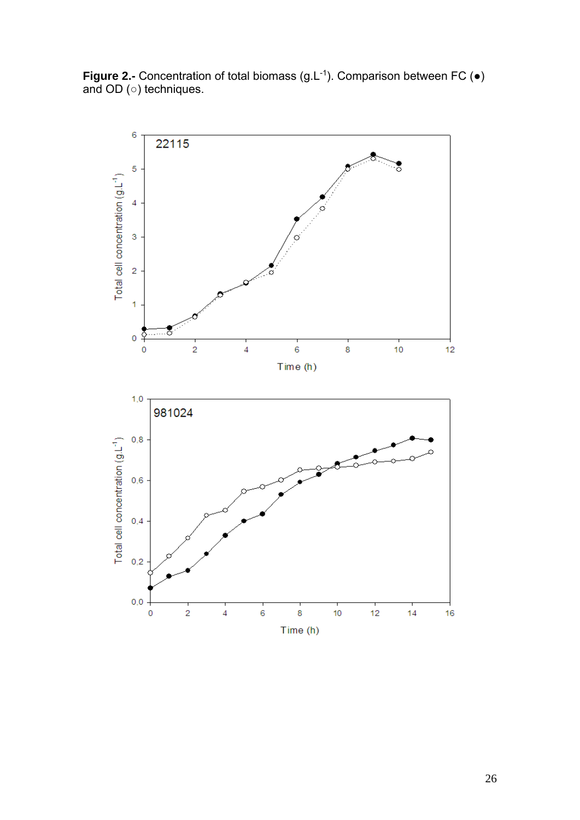**Figure 2.-** Concentration of total biomass (g.L<sup>-1</sup>). Comparison between FC (●) and OD (○) techniques.

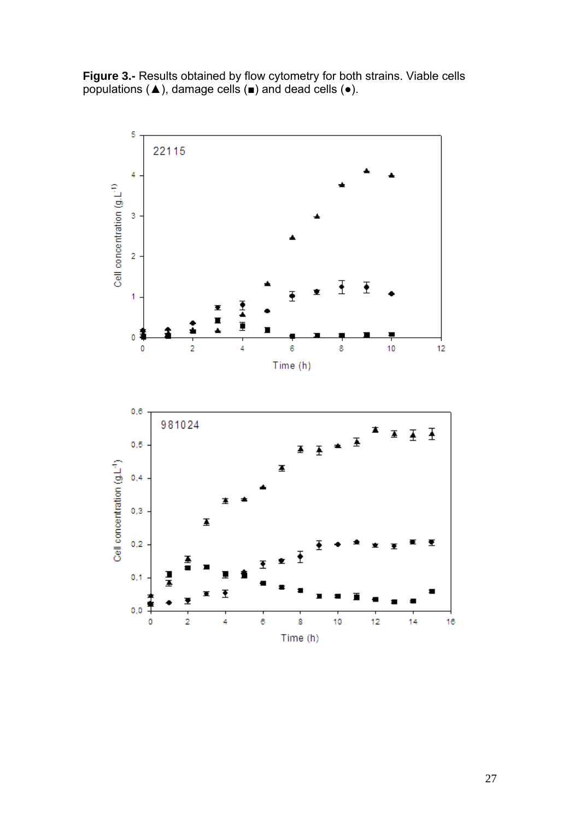**Figure 3.-** Results obtained by flow cytometry for both strains. Viable cells populations (▲), damage cells (■) and dead cells (●).

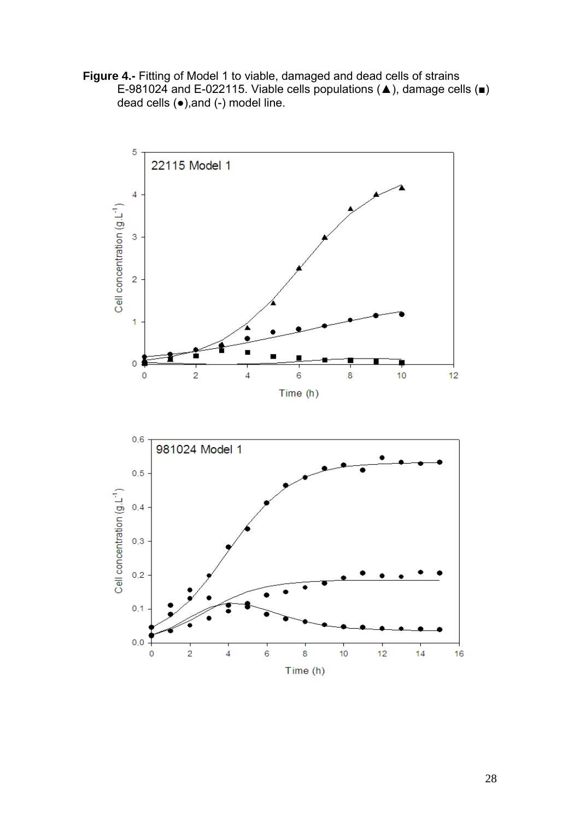**Figure 4.-** Fitting of Model 1 to viable, damaged and dead cells of strains E-981024 and E-022115. Viable cells populations (▲), damage cells (■) dead cells (●),and (-) model line.